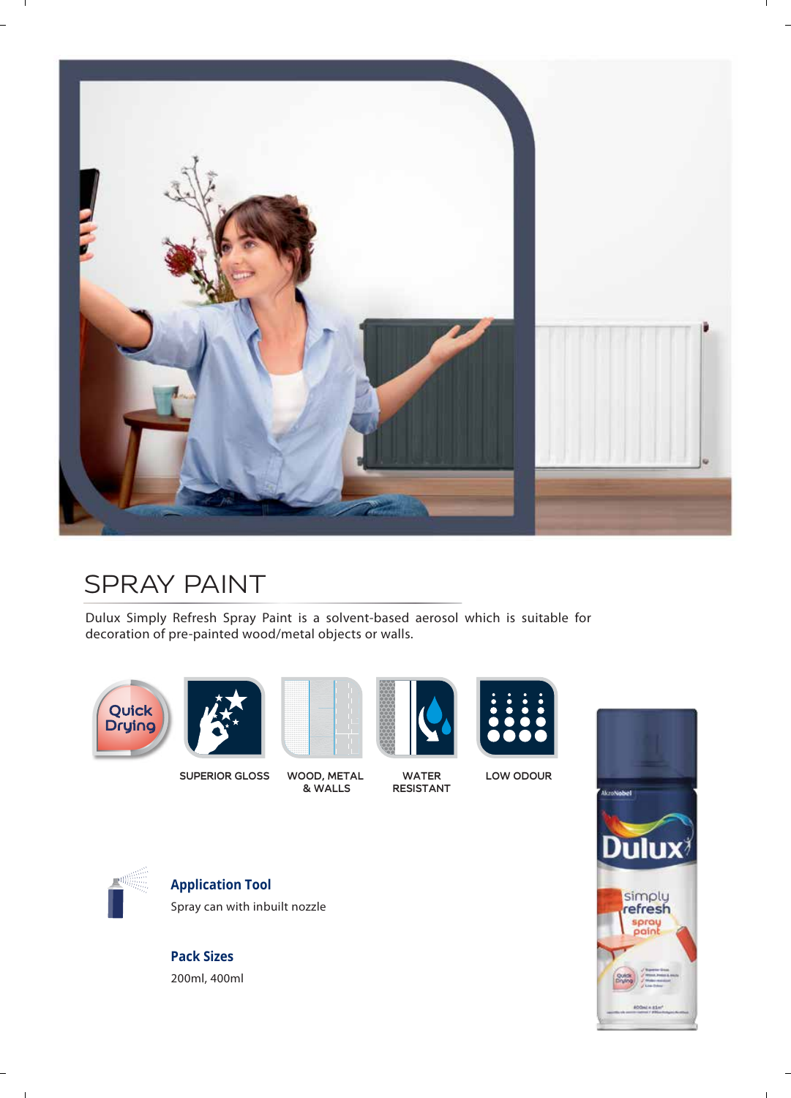

# SPRAY PAINT

Dulux Simply Refresh Spray Paint is a solvent-based aerosol which is suitable for decoration of pre-painted wood/metal objects or walls.





**SUPERIOR GLOSS WOOD, METAL** 



**& WALLS WATER RESISTANT**



**LOW ODOUR**





 $\sim 10$ 

**Application Tool** Spray can with inbuilt nozzle

**Pack Sizes** 200ml, 400ml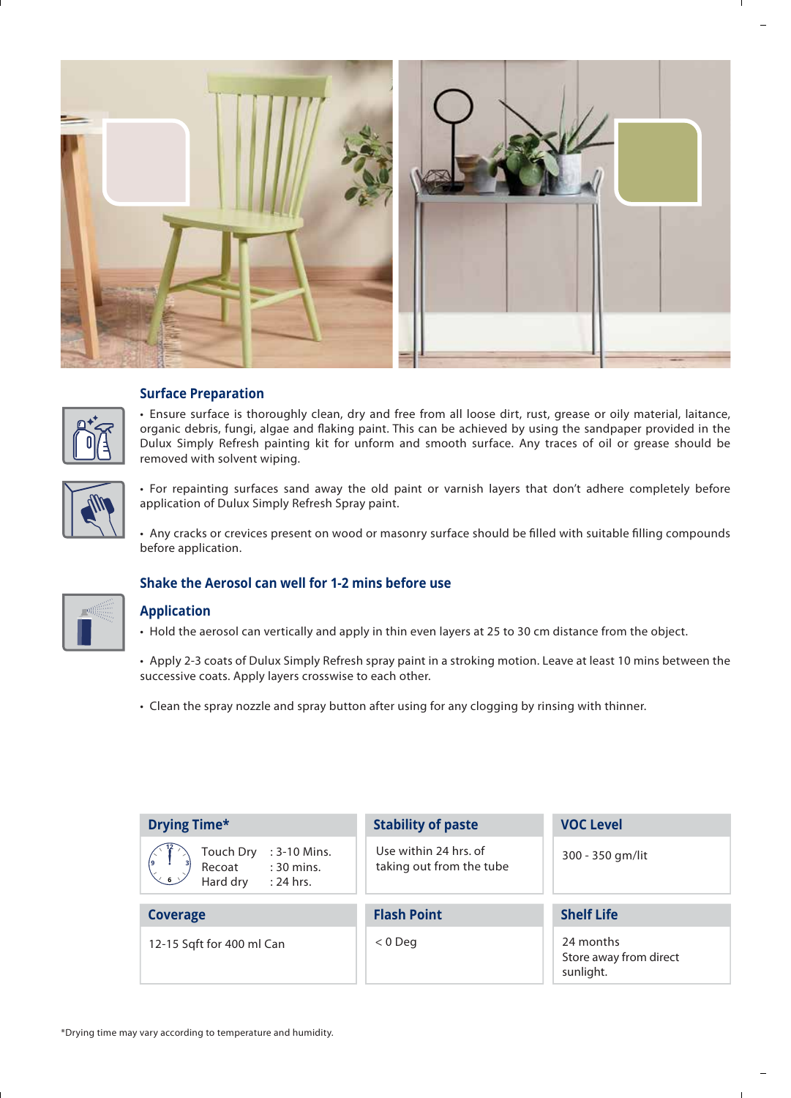

# **Surface Preparation**

• Ensure surface is thoroughly clean, dry and free from all loose dirt, rust, grease or oily material, laitance, organic debris, fungi, algae and flaking paint. This can be achieved by using the sandpaper provided in the Dulux Simply Refresh painting kit for unform and smooth surface. Any traces of oil or grease should be removed with solvent wiping.



• For repainting surfaces sand away the old paint or varnish layers that don't adhere completely before application of Dulux Simply Refresh Spray paint.

• Any cracks or crevices present on wood or masonry surface should be filled with suitable filling compounds before application.



# **Shake the Aerosol can well for 1-2 mins before use**

## **Application**

- Hold the aerosol can vertically and apply in thin even layers at 25 to 30 cm distance from the object.
- Apply 2-3 coats of Dulux Simply Refresh spray paint in a stroking motion. Leave at least 10 mins between the successive coats. Apply layers crosswise to each other.
- Clean the spray nozzle and spray button after using for any clogging by rinsing with thinner.

| <b>Drying Time*</b>                                                                                                                                                        | <b>Stability of paste</b>                         | <b>VOC Level</b>                                 |
|----------------------------------------------------------------------------------------------------------------------------------------------------------------------------|---------------------------------------------------|--------------------------------------------------|
| Touch Dry<br>: 3-10 Mins.<br>$\begin{matrix} \begin{matrix} 6 \end{matrix} \\ \begin{matrix} 6 \end{matrix} \end{matrix}$<br>: 30 mins.<br>Recoat<br>Hard dry<br>: 24 hrs. | Use within 24 hrs. of<br>taking out from the tube | 300 - 350 gm/lit                                 |
| <b>Coverage</b>                                                                                                                                                            | <b>Flash Point</b>                                | <b>Shelf Life</b>                                |
| 12-15 Sqft for 400 ml Can                                                                                                                                                  | $< 0$ Deg                                         | 24 months<br>Store away from direct<br>sunlight. |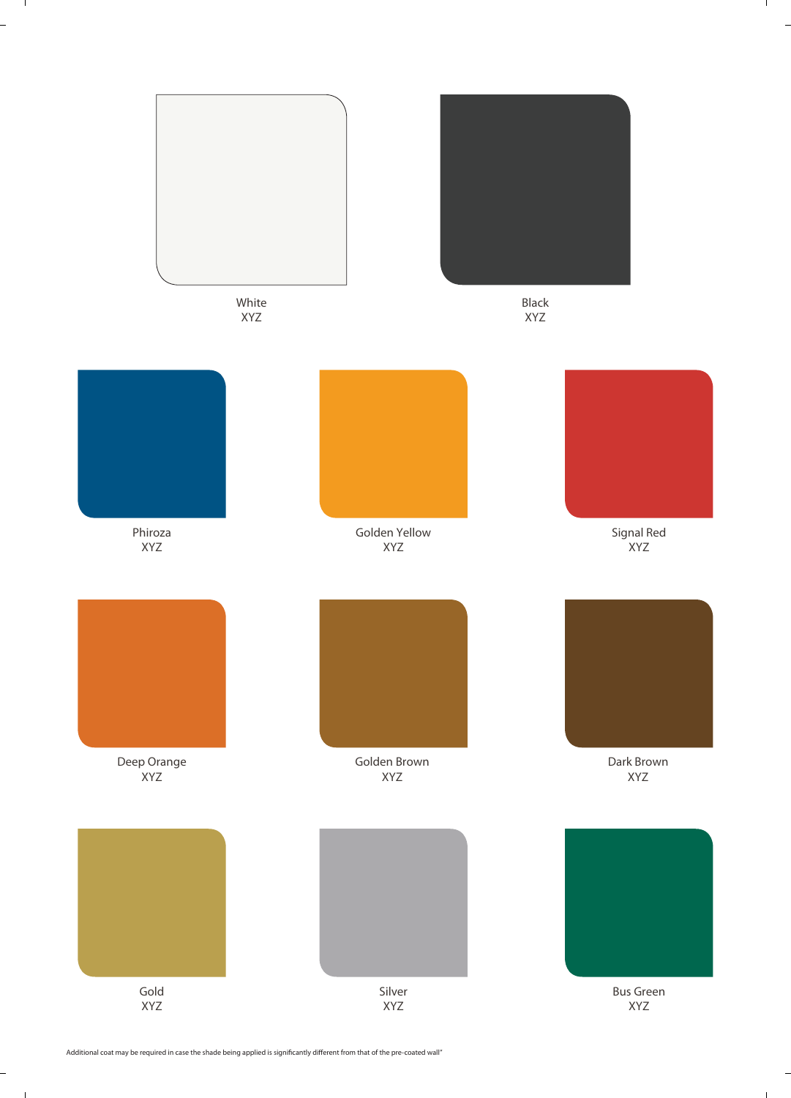

 $\mathbf{I}$ 

 $\frac{1}{2}$ 

 $\frac{1}{2}$ 

 $\mathbf{1}$ 

Additional coat may be required in case the shade being applied is significantly different from that of the pre-coated wall"

 $\mathbf{I}$ 

 $\overline{a}$ 

Ĩ.

 $\sim 10^{-1}$